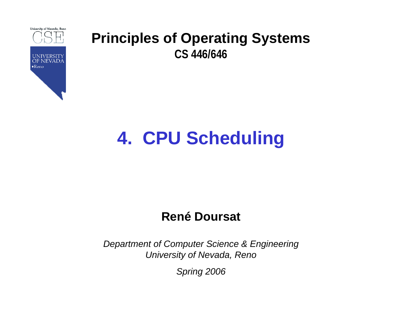

# **4. CPU Scheduling**

#### **René Doursat**

*Department of Computer Science & Engineering University of Nevada, Reno*

*Spring 2006*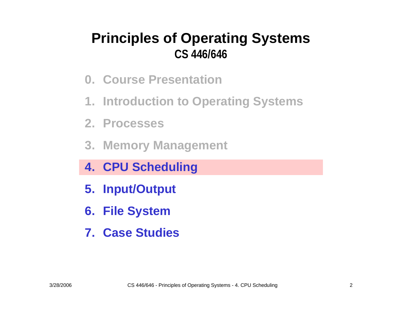- **0. Course Presentation**
- **1. Introduction to Operating Systems**
- **2. Processes**
- **3. Memory Management**
- **4. CPU Scheduling**
- **5. Input/Output**
- **6. File System**
- **7. Case Studies**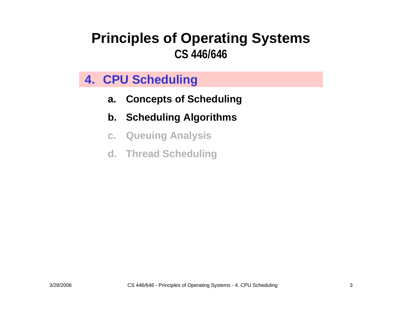#### **4. CPU Scheduling**

- **a.Concepts of Scheduling**
- **b. Scheduling Algorithms**
- **c. Queuing Analysis**
- **d. Thread Scheduling**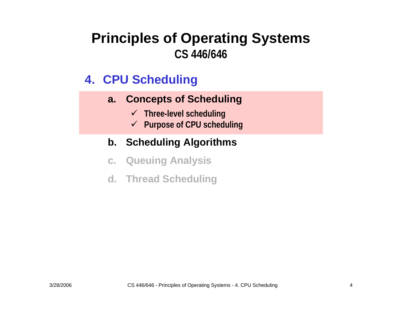#### **4. CPU Scheduling**

#### **a. Concepts of Scheduling**

- 9 **Three-level scheduling**
- 9 **Purpose of CPU scheduling**

#### **b. Scheduling Algorithms**

- **c. Queuing Analysis**
- **d. Thread Scheduling**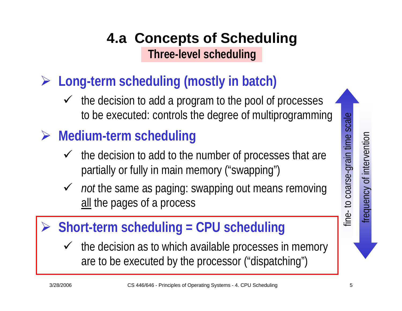fine- to coarse-grain time scale

fine-to coarse-grain time

scale

#### **4.a Concepts of Scheduling Three-level scheduling**

### ¾ **Long-term scheduling (mostly in batch)**

 $\checkmark$  the decision to add a program to the pool of processes to be executed: controls the degree of multiprogramming

### ¾ **Medium-term scheduling**

- $\checkmark$  the decision to add to the number of processes that are partially or fully in main memory ("swapping")
- ◆ *not* the same as paging: swapping out means removing all the pages of a process

#### ¾**Short-term scheduling = CPU scheduling**

 $\checkmark$  the decision as to which available processes in memory are to be executed by the processor ("dispatching")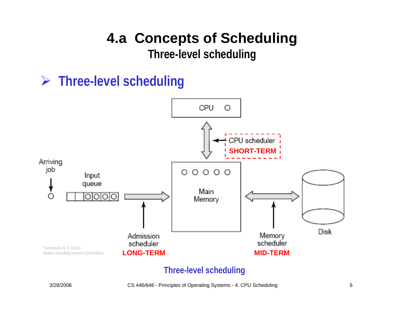### **4.a Concepts of Scheduling**

**Three-level scheduling**

### ¾ **Three-level scheduling**



#### **Three-level scheduling**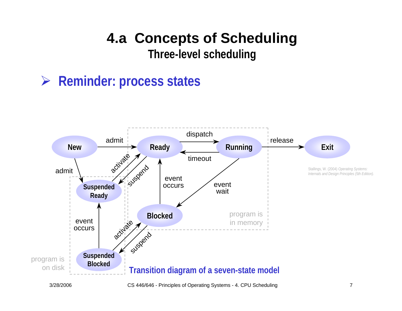### **4.a Concepts of Scheduling**

**Three-level scheduling**

#### ¾ **Reminder: process states**

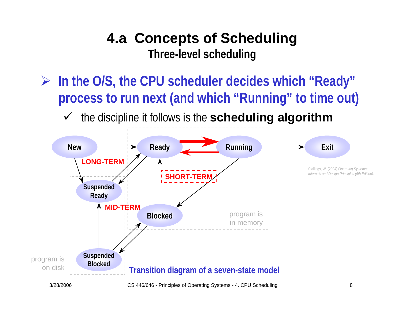### **4.a Concepts of Scheduling Three-level scheduling**

- ¾ **In the O/S, the CPU scheduler decides which "Ready" process to run next (and which "Running" to time out)**
	- $\checkmark$ the discipline it follows is the **scheduling algorithm**

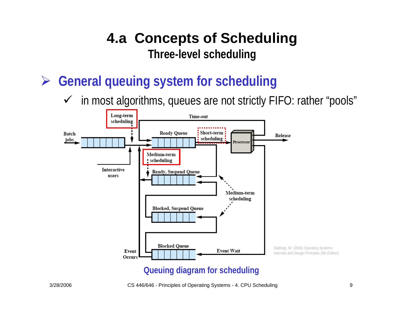#### **4.a Concepts of Scheduling Three-level scheduling**

¾**General queuing system for scheduling**

 $\checkmark$ in most algorithms, queues are not strictly FIFO: rather "pools"



#### **Queuing diagram for scheduling**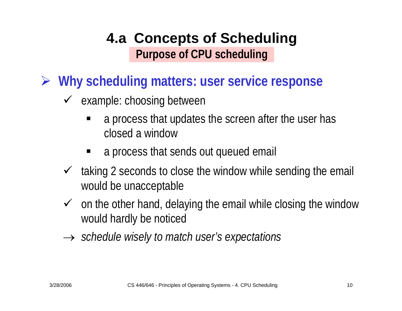¾**Why scheduling matters: user service response**

- $\checkmark$  example: choosing between
	- ٠ a process that updates the screen after the user has closed a window
	- a process that sends out queued email
- $\checkmark$  taking 2 seconds to close the window while sending the email would be unacceptable
- $\checkmark$  on the other hand, delaying the email while closing the window would hardly be noticed
- → *schedule wisely to match user's expectations*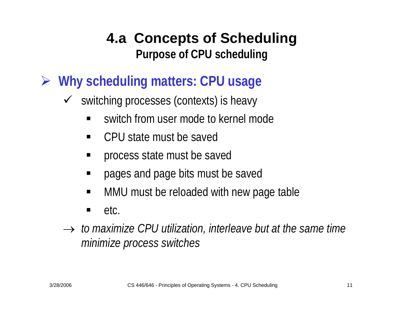- ¾ **Why scheduling matters: CPU usage**
	- $\sqrt{ }$  switching processes (contexts) is heavy
		- ٠ switch from user mode to kernel mode
		- $\blacksquare$ CPU state must be saved
		- ٠ process state must be saved
		- ٠ pages and page bits must be saved
		- ٠ MMU must be reloaded with new page table
		- etc.
	- $\rightarrow$  *to maximize CPU utilization, interleave but at the same time minimize process switches*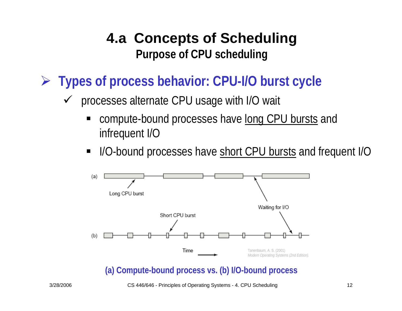- ¾ **Types of process behavior: CPU-I/O burst cycle**
	- $\checkmark$  processes alternate CPU usage with I/O wait
		- ٠ compute-bound processes have long CPU bursts and infrequent I/O
		- I/O-bound processes have short CPU bursts and frequent I/O



**(a) Compute-bound process vs. (b) I/O-bound process**

3/28/2006 CS 446/646 - Principles of Operating Systems - 4. CPU Scheduling 12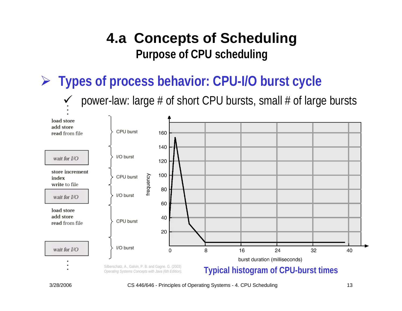¾ **Types of process behavior: CPU-I/O burst cycle**

 $\checkmark$ power-law: large # of short CPU bursts, small # of large bursts



3/28/2006 CS 446/646 - Principles of Operating Systems - 4. CPU Scheduling 13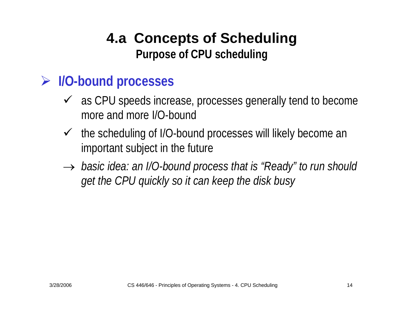#### ¾ **I/O-bound processes**

- $\checkmark$  as CPU speeds increase, processes generally tend to become more and more I/O-bound
- $\checkmark$  the scheduling of I/O-bound processes will likely become an important subject in the future
- → *basic idea: an I/O-bound process that is "Ready" to run should get the CPU quickly so it can keep the disk busy*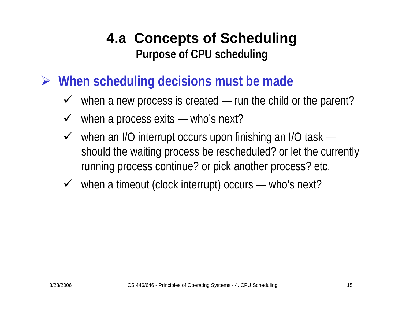- ¾ **When scheduling decisions must be made**
	- $\checkmark$  when a new process is created run the child or the parent?
	- $\checkmark$  $\checkmark$  when a process exits — who's next?
	- $\sqrt{ }$ when an I/O interrupt occurs upon finishing an I/O task should the waiting process be rescheduled? or let the currently running process continue? or pick another process? etc.
	- $\checkmark$  when a timeout (clock interrupt) occurs who's next?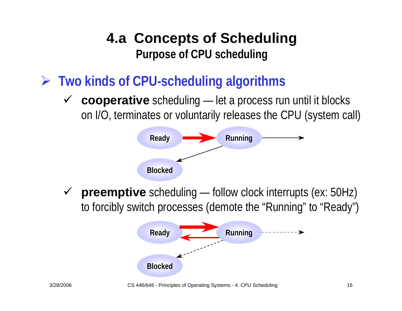- ¾ **Two kinds of CPU-scheduling algorithms**
	- ◆ **cooperative** scheduling let a process run until it blocks on I/O, terminates or voluntarily releases the CPU (system call)



◆ **preemptive** scheduling — follow clock interrupts (ex: 50Hz) to forcibly switch processes (demote the "Running" to "Ready")

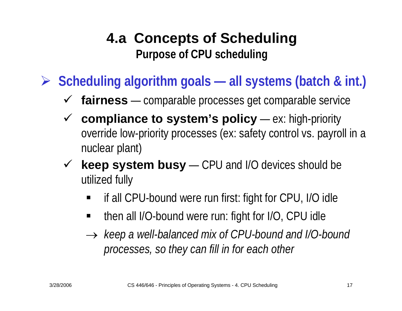¾ **Scheduling algorithm goals — all systems (batch & int.)**

- 9 **fairness** comparable processes get comparable service
- $\checkmark$  **compliance to system's policy** — ex: high-priority override low-priority processes (ex: safety control vs. payroll in a nuclear plant)
- $\checkmark$  **keep system busy** — CPU and I/O devices should be utilized fully
	- $\blacksquare$ if all CPU-bound were run first: fight for CPU, I/O idle
	- $\blacksquare$ then all I/O-bound were run: fight for I/O, CPU idle
	- → *keep a well-balanced mix of CPU-bound and I/O-bound processes, so they can fill in for each other*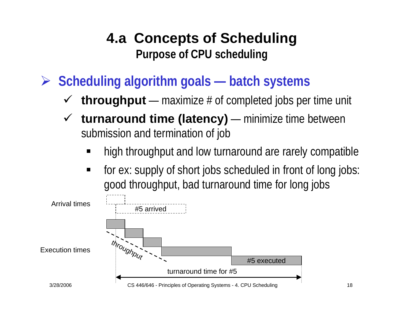- ¾ **Scheduling algorithm goals — batch systems**
	- $\checkmark$  **throughput** — maximize # of completed jobs per time unit
	- $\checkmark$  **turnaround time (latency)** — minimize time between submission and termination of job
		- high throughput and low turnaround are rarely compatible
		- for ex: supply of short jobs scheduled in front of long jobs: good throughput, bad turnaround time for long jobs

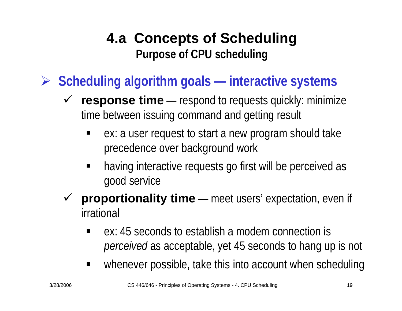¾ **Scheduling algorithm goals — interactive systems**

- $\checkmark$  **response time** — respond to requests quickly: minimize time between issuing command and getting result
	- ٠ ex: a user request to start a new program should take precedence over background work
	- $\blacksquare$  having interactive requests go first will be perceived as good service
- $\checkmark$  **proportionality time** — meet users' expectation, even if irrational
	- ٠ ex: 45 seconds to establish a modem connection is *perceived* as acceptable, yet 45 seconds to hang up is not
	- $\blacksquare$ whenever possible, take this into account when scheduling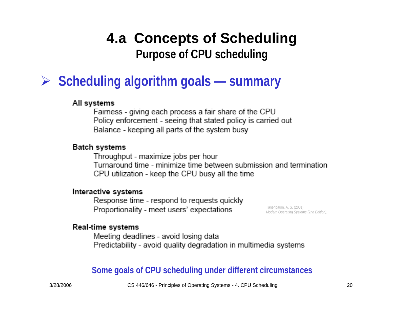# **4.a Concepts of Scheduling**

**Purpose of CPU scheduling**

### ¾ **Scheduling algorithm goals — summary**

#### All systems

Fairness - giving each process a fair share of the CPU Policy enforcement - seeing that stated policy is carried out Balance - keeping all parts of the system busy

#### **Batch systems**

Throughput - maximize jobs per hour Turnaround time - minimize time between submission and termination CPU utilization - keep the CPU busy all the time

#### Interactive systems

Response time - respond to requests quickly Proportionality - meet users' expectations

Tanenbaum, A. S. (2001) *Modern Operating Systems (2nd Edition).* 

#### **Real-time systems**

Meeting deadlines - avoid losing data Predictability - avoid quality degradation in multimedia systems

#### **Some goals of CPU scheduling under different circumstances**

3/28/2006 CS 446/646 - Principles of Operating Systems - 4. CPU Scheduling 20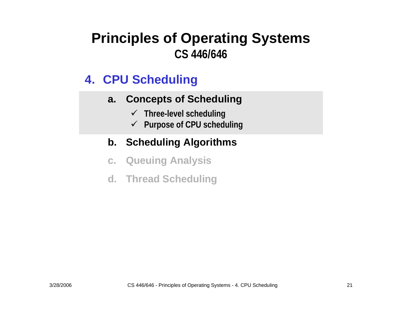#### **4. CPU Scheduling**

#### **a. Concepts of Scheduling**

- 9 **Three-level scheduling**
- 9 **Purpose of CPU scheduling**

#### **b. Scheduling Algorithms**

- **c. Queuing Analysis**
- **d. Thread Scheduling**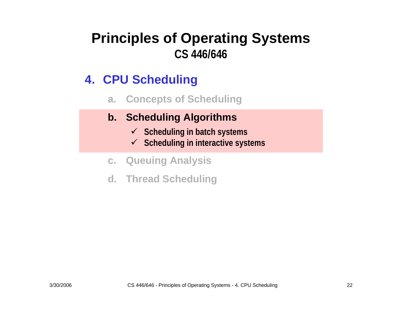#### **4. CPU Scheduling**

**a.Concepts of Scheduling**

#### **b. Scheduling Algorithms**

- 9 **Scheduling in batch systems**
- 9 **Scheduling in interactive systems**
- **c.Queuing Analysis**
- **d. Thread Scheduling**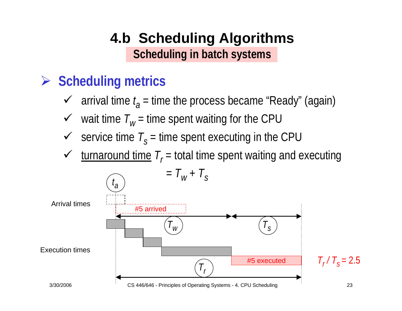### **4.b Scheduling Algorithms Scheduling in batch systems**

### ¾ **Scheduling metrics**

- $\sqrt{ }$  $\checkmark$  arrival time  $t_a$  = time the process became "Ready" (again)
- $\checkmark$  wait time  $T_w$  = time spent waiting for the CPU
- $\checkmark$  service time  $T_s$  = time spent executing in the CPU
- $\checkmark$  $\checkmark$  turnaround time  $T_r$  = total time spent waiting and executing

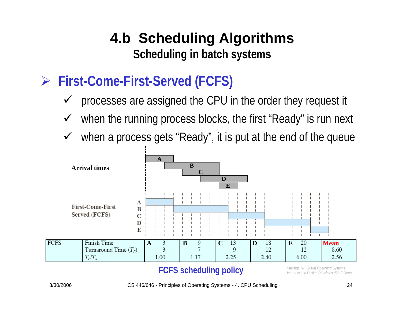### **4.b Scheduling Algorithms Scheduling in batch systems**

- ¾ **First-Come-First-Served (FCFS)**
	- $\checkmark$ processes are assigned the CPU in the order they request it
	- $\checkmark$ when the running process blocks, the first "Ready" is run next
	- $\checkmark$ when a process gets "Ready", it is put at the end of the queue



#### **FCFS scheduling policy**

Stallings, W. (2004) *Operating Systems: Internals and Design Principles (5th Edition).*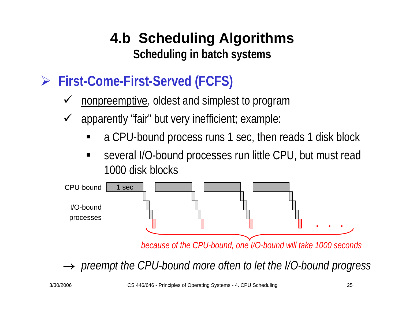#### **4.b Scheduling Algorithms Scheduling in batch systems**

- ¾ **First-Come-First-Served (FCFS)**
	- $\checkmark$ nonpreemptive, oldest and simplest to program
	- $\checkmark$  apparently "fair" but very inefficient; example:
		- ٠ a CPU-bound process runs 1 sec, then reads 1 disk block
		- ٠ several I/O-bound processes run little CPU, but must read 1000 disk blocks



→ *preempt the CPU-bound more often to let the I/O-bound progress*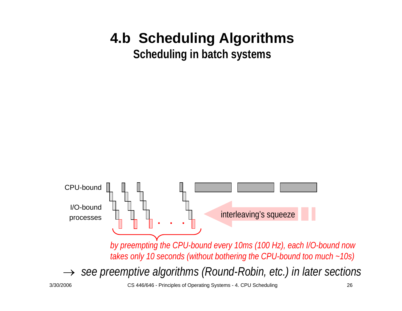### **4.b Scheduling Algorithms**

**Scheduling in batch systems**



3/30/2006 CS 446/646 - Principles of Operating Systems - 4. CPU Scheduling 26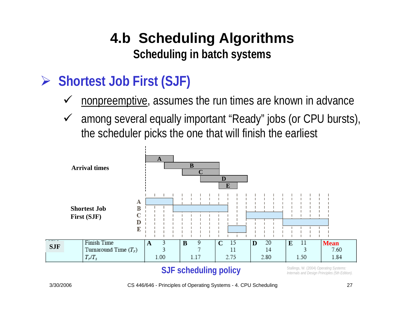#### **4.b Scheduling Algorithms Scheduling in batch systems**

# ¾ **Shortest Job First (SJF)**

- $\checkmark$ nonpreemptive, assumes the run times are known in advance
- $\checkmark$  among several equally important "Ready" jobs (or CPU bursts), the scheduler picks the one that will finish the earliest



#### **SJF scheduling policy**

Stallings, W. (2004) *Operating Systems: Internals and Design Principles (5th Edition).*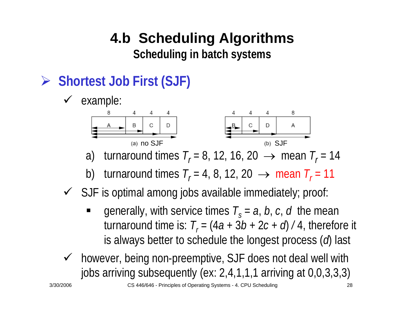## **4.b Scheduling Algorithms**

**Scheduling in batch systems**

¾ **Shortest Job First (SJF)**



a) turnaround times  $T_r$  = 8, 12, 16, 20  $\rightarrow$  mean  $T_r$  = 14

b) turnaround times  $T_r$  = 4, 8, 12, 20  $\rightarrow$  mean  $T_r$  = 11

#### $\checkmark$  SJF is optimal among jobs available immediately; proof:

- generally, with service times  $T_s = a$ , b, c, d the mean turnaround time is:  $T_r = (4a + 3b + 2c + d)/4$ , therefore it is always better to schedule the longest process (*d*) last
- $\sqrt{ }$  however, being non-preemptive, SJF does not deal well with jobs arriving subsequently (ex: 2,4,1,1,1 arriving at 0,0,3,3,3)

 $\sqrt{ }$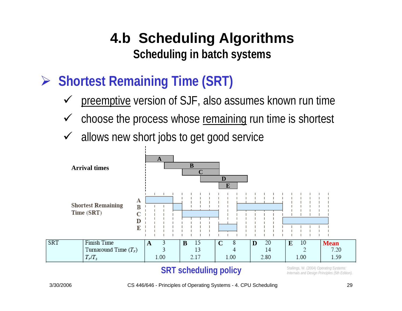#### **4.b Scheduling Algorithms Scheduling in batch systems**

- ¾ **Shortest Remaining Time (SRT)**
	- $\checkmark$ preemptive version of SJF, also assumes known run time
	- $\checkmark$ choose the process whose remaining run time is shortest
	- $\checkmark$ allows new short jobs to get good service



#### **SRT scheduling policy**

Stallings, W. (2004) *Operating Systems: Internals and Design Principles (5th Edition).*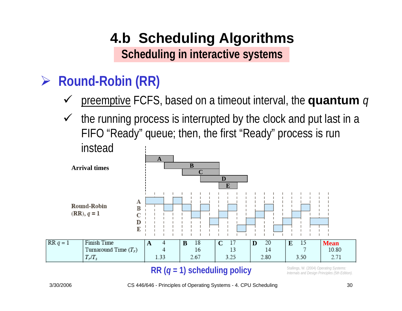### ¾ **Round-Robin (RR)**

- $\checkmark$ preemptive FCFS, based on a timeout interval, the **quantum** *q*
- $\checkmark$  the running process is interrupted by the clock and put last in a FIFO "Ready" queue; then, the first "Ready" process is run instead



#### **RR (***q* **= 1) scheduling policy**

Stallings, W. (2004) *Operating Systems: Internals and Design Principles (5th Edition).* 

3/30/2006 CS 446/646 - Principles of Operating Systems - 4. CPU Scheduling 30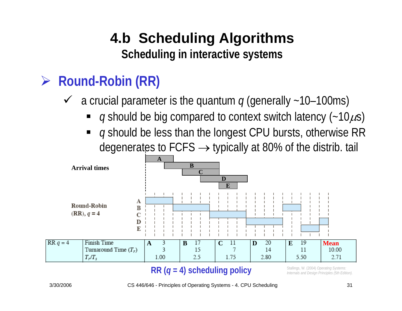### ¾ **Round-Robin (RR)**

 $\sqrt{ }$ a crucial parameter is the quantum *q* (generally ~10–100ms)

- *q* should be big compared to context switch latency (~10 $\mu$ s)
- ٠ *q* should be less than the longest CPU bursts, otherwise RR degenerates to FCFS  $\rightarrow$  typically at 80% of the distrib. tail



#### **RR (***q* **= 4) scheduling policy**

Stallings, W. (2004) *Operating Systems: Internals and Design Principles (5th Edition).* 

3/30/2006 CS 446/646 - Principles of Operating Systems - 4. CPU Scheduling 31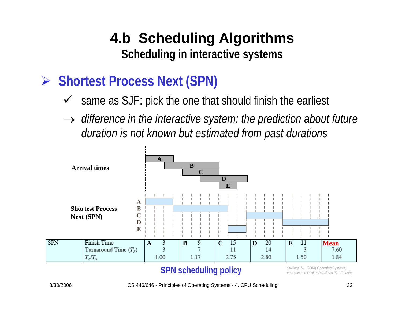# **4.b Scheduling Algorithms**

**Scheduling in interactive systems**

- ¾ **Shortest Process Next (SPN)**
	- $\checkmark$ same as SJF: pick the one that should finish the earliest
	- → *difference in the interactive system: the prediction about future duration is not known but estimated from past durations*



#### **SPN scheduling policy**

Stallings, W. (2004) *Operating Systems: Internals and Design Principles (5th Edition).*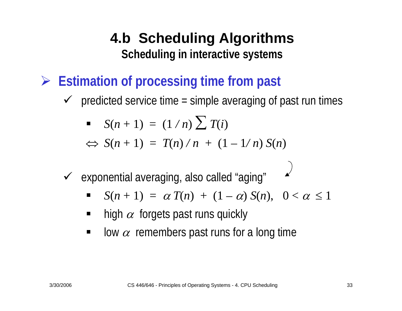- ¾ **Estimation of processing time from past**
	- $\checkmark$  predicted service time = simple averaging of past run times

$$
S(n+1) = (1/n) \sum T(i)
$$
  

$$
\Leftrightarrow S(n+1) = T(n)/n + (1 - 1/n) S(n)
$$

- $\checkmark$  exponential averaging, also called "aging"
	- ٠  $S(n + 1) = \alpha T(n) + (1 - \alpha) S(n), \quad 0 < \alpha \leq 1$
	- ٠ **n** high  $\alpha$  forgets past runs quickly
	- $\blacksquare$ low  $\alpha$  remembers past runs for a long time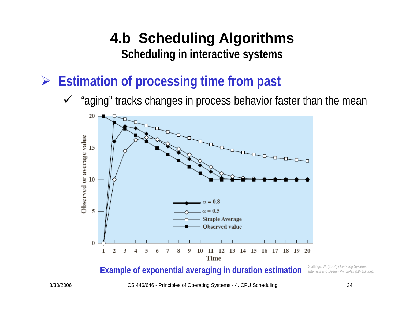¾ **Estimation of processing time from past**

 $\checkmark$ "aging" tracks changes in process behavior faster than the mean



**Example of exponential averaging in duration estimation** *Stallings, W. (2004) Operating Systems: Internals and Design Principles (5th Edition)* 

3/30/2006 CS 446/646 - Principles of Operating Systems - 4. CPU Scheduling 34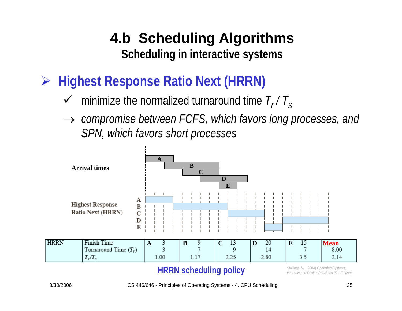- ¾ **Highest Response Ratio Next (HRRN)**
	- $\checkmark$  $\checkmark$  minimize the normalized turnaround time  $T_r/T_s$
	- $\rightarrow$  *compromise between FCFS, which favors long processes, and SPN, which favors short processes*



#### **HRRN scheduling policy**

Stallings, W. (2004) *Operating Systems: Internals and Design Principles (5th Edition).*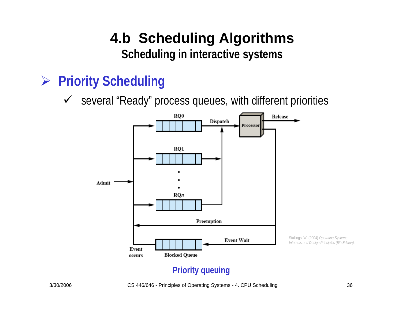# **4.b Scheduling Algorithms**

**Scheduling in interactive systems**

### ¾ **Priority Scheduling**

 $\checkmark$  several "Ready" process queues, with different priorities



#### **Priority queuing**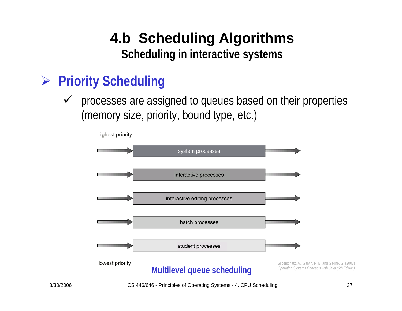# **4.b Scheduling Algorithms**

**Scheduling in interactive systems**

### ¾ **Priority Scheduling**

 $\sqrt{ }$  processes are assigned to queues based on their properties (memory size, priority, bound type, etc.)



3/30/2006 CS 446/646 - Principles of Operating Systems - 4. CPU Scheduling 37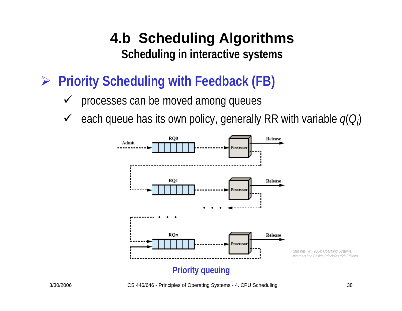- ¾ **Priority Scheduling with Feedback (FB)**
	- $\checkmark$ processes can be moved among queues
	- $\checkmark$ each queue has its own policy, generally RR with variable *q*(*Qi*)

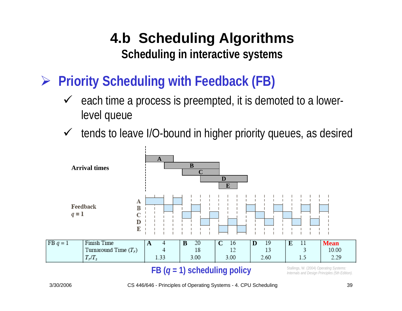¾**Priority Scheduling with Feedback (FB)**

- $\sqrt{ }$  each time a process is preempted, it is demoted to a lowerlevel queue
- $\checkmark$ tends to leave I/O-bound in higher priority queues, as desired



#### **FB (***q* **= 1) scheduling policy**

Stallings, W. (2004) *Operating Systems: Internals and Design Principles (5th Edition).* 

3/30/2006 CS 446/646 - Principles of Operating Systems - 4. CPU Scheduling 39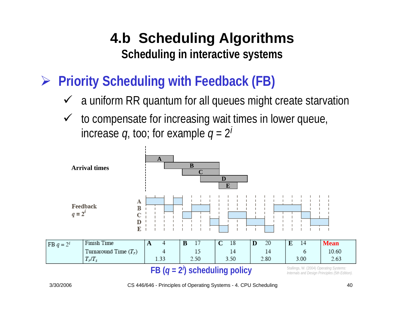¾**Priority Scheduling with Feedback (FB)**

- $\checkmark$  a uniform RR quantum for all queues might create starvation
- $\checkmark$  to compensate for increasing wait times in lower queue, increase  $q_i$  too; for example  $q = 2^i$



3/30/2006 CS 446/646 - Principles of Operating Systems - 4. CPU Scheduling 40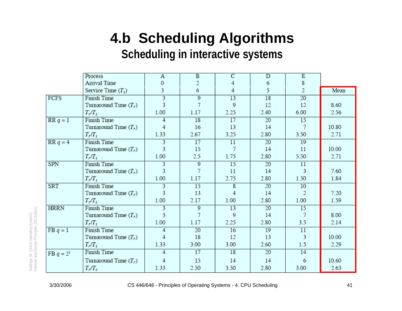## **4.b Scheduling Algorithms**

**Scheduling in interactive systems**

|              | Process                 | Α              | $\overline{B}$ | $\overline{C}$ | D    | $\overline{E}$ |       |
|--------------|-------------------------|----------------|----------------|----------------|------|----------------|-------|
|              | Arrival Time            | 0              | $\overline{c}$ | 4              | 6    | 8              |       |
|              | Service Time $(T_s)$    | 3              | 6              | 4              | 5    | $\overline{c}$ | Mean  |
| FCFS         | Finish Time             | 3              | 9              | 13             | 18   | 20             |       |
|              | Turnaround Time $(T_r)$ | 3              | 7              | 9              | 12   | 12             | 8.60  |
|              | $T_r/T_s$               | 1.00           | 1.17           | 2.25           | 2.40 | 6.00           | 2.56  |
| $RR q = 1$   | <b>Finish Time</b>      | 4              | 18             | 17             | 20   | 15             |       |
|              | Turnaround Time $(T_r)$ | 4              | 16             | 13             | 14   | 7              | 10.80 |
|              | $T_r/T_s$               | 1.33           | 2.67           | 3.25           | 2.80 | 3.50           | 2.71  |
| $RR q = 4$   | Finish Time             | 3              | 17             | 11             | 20   | 19             |       |
|              | Turnaround Time $(T_r)$ | 3              | 15             | 7              | 14   | 11             | 10.00 |
|              | $T_r/T_s$               | 1.00           | 2.5            | 1.75           | 2.80 | 5.50           | 2.71  |
| <b>SPN</b>   | Finish Time             | 3              | 9              | 15             | 20   | 11             |       |
|              | Turnaround Time $(T_r)$ | 3              | 7              | 11             | 14   | 3              | 7.60  |
|              | $T_r/T_s$               | 1.00           | 1.17           | 2.75           | 2.80 | 1.50           | 1.84  |
| <b>SRT</b>   | <b>Finish Time</b>      | 3              | 15             | 8              | 20   | 10             |       |
|              | Turnaround Time $(T_r)$ | 3              | 13             | 4              | 14   | 2              | 7.20  |
|              | $T_r/T_s$               | 1.00           | 2.17           | 1.00           | 2.80 | 1.00           | 1.59  |
| <b>HRRN</b>  | Finish Time             | 3              | $\overline{9}$ | 13             | 20   | 15             |       |
|              | Turnaround Time $(T_r)$ | 3              | 7              | 9              | 14   | 7              | 8.00  |
|              | $T_r/T_s$               | 1.00           | 1.17           | 2.25           | 2.80 | 3.5            | 2.14  |
| $FB q = 1$   | <b>Finish Time</b>      | 4              | 20             | 16             | 19   | 11             |       |
|              | Turnaround Time $(T_r)$ | 4              | 18             | 12             | 13   | 3              | 10.00 |
|              | $T_r/T_s$               | 1.33           | 3.00           | 3.00           | 2.60 | 1.5            | 2.29  |
| FB $q = 2^i$ | Finish Time             | 4              | 17             | 18             | 20   | 14             |       |
|              | Turnaround Time $(T_r)$ | $\overline{4}$ | 15             | 14             | 14   | 6              | 10.60 |
|              | $T_r/T_s$               | 1.33           | 2.50           | 3.50           | 2.80 | 3.00           | 2.63  |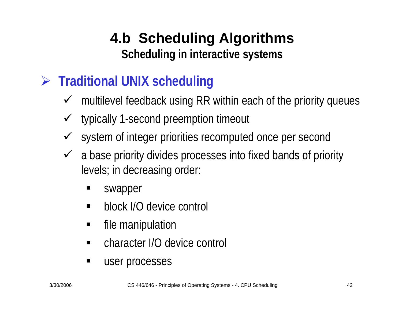# **4.b Scheduling Algorithms**

**Scheduling in interactive systems**

- ¾ **Traditional UNIX scheduling**
	- $\checkmark$  multilevel feedback using RR within each of the priority queues
	- $\checkmark$ typically 1-second preemption timeout
	- $\checkmark$ system of integer priorities recomputed once per second
	- $\sqrt{ }$  a base priority divides processes into fixed bands of priority levels; in decreasing order:
		- swapper
		- block I/O device control
		- file manipulation
		- character I/O device control
		- user processes